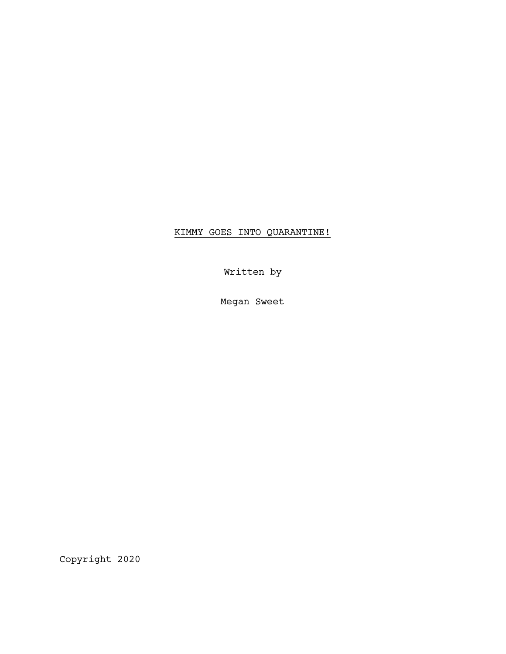# KIMMY GOES INTO QUARANTINE!

Written by

Megan Sweet

Copyright 2020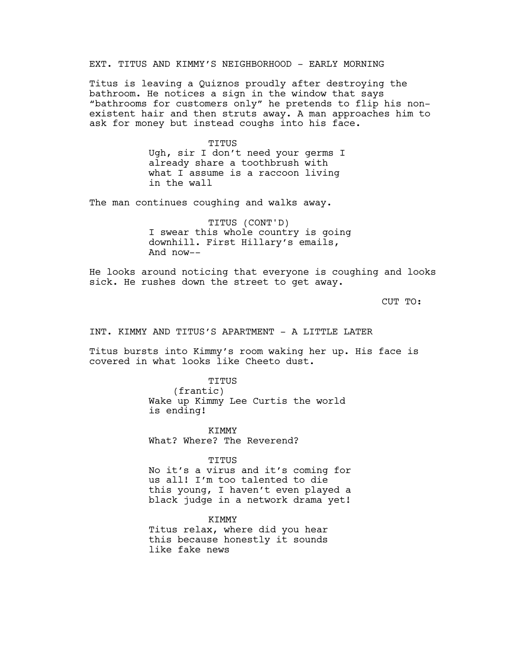EXT. TITUS AND KIMMY'S NEIGHBORHOOD - EARLY MORNING

Titus is leaving a Quiznos proudly after destroying the bathroom. He notices a sign in the window that says "bathrooms for customers only" he pretends to flip his nonexistent hair and then struts away. A man approaches him to ask for money but instead coughs into his face.

> TITUS Ugh, sir I don't need your germs I already share a toothbrush with what I assume is a raccoon living in the wall

The man continues coughing and walks away.

TITUS (CONT'D) I swear this whole country is going downhill. First Hillary's emails, And now--

He looks around noticing that everyone is coughing and looks sick. He rushes down the street to get away.

CUT TO:

INT. KIMMY AND TITUS'S APARTMENT - A LITTLE LATER

Titus bursts into Kimmy's room waking her up. His face is covered in what looks like Cheeto dust.

> TITUS (frantic) Wake up Kimmy Lee Curtis the world is ending!

**KTMMY** What? Where? The Reverend?

TITUS

No it's a virus and it's coming for us all! I'm too talented to die this young, I haven't even played a black judge in a network drama yet!

**KTMMY** Titus relax, where did you hear this because honestly it sounds like fake news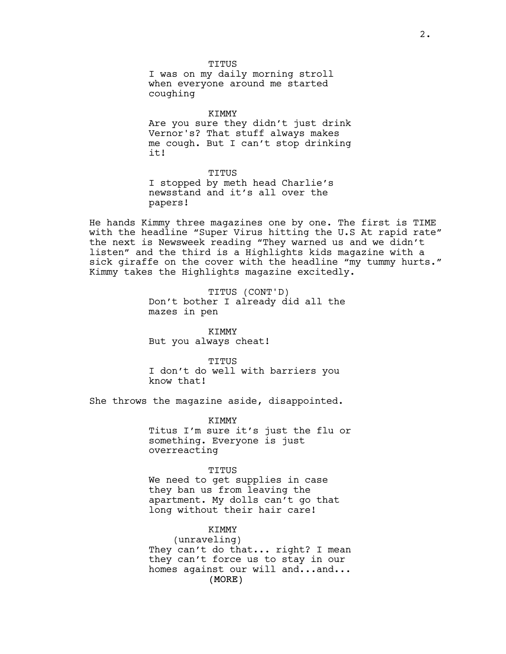TITUS I was on my daily morning stroll when everyone around me started coughing

KIMMY Are you sure they didn't just drink Vernor's? That stuff always makes me cough. But I can't stop drinking it!

TITUS I stopped by meth head Charlie's newsstand and it's all over the papers!

He hands Kimmy three magazines one by one. The first is TIME with the headline "Super Virus hitting the U.S At rapid rate" the next is Newsweek reading "They warned us and we didn't listen" and the third is a Highlights kids magazine with a sick giraffe on the cover with the headline "my tummy hurts." Kimmy takes the Highlights magazine excitedly.

> TITUS (CONT'D) Don't bother I already did all the mazes in pen

KIMMY But you always cheat!

TITUS I don't do well with barriers you know that!

She throws the magazine aside, disappointed.

KIMMY Titus I'm sure it's just the flu or something. Everyone is just overreacting

### TITUS

We need to get supplies in case they ban us from leaving the apartment. My dolls can't go that long without their hair care!

# KIMMY

(MORE) (unraveling) They can't do that... right? I mean they can't force us to stay in our homes against our will and...and...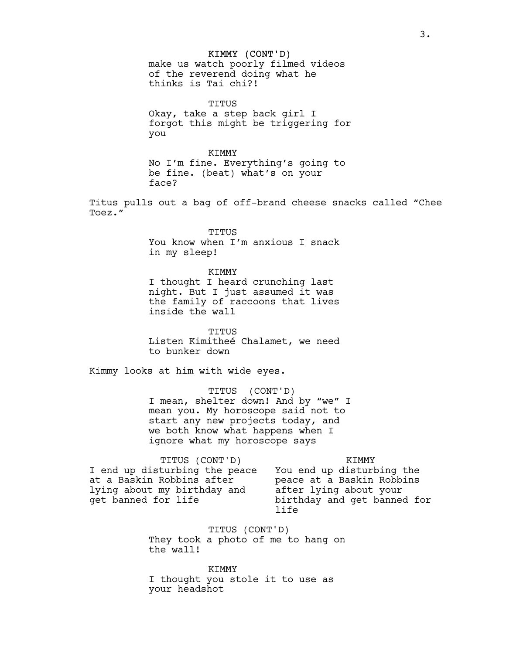#### KIMMY (CONT'D)

make us watch poorly filmed videos of the reverend doing what he thinks is Tai chi?!

TITUS Okay, take a step back girl I forgot this might be triggering for you

KIMMY No I'm fine. Everything's going to be fine. (beat) what's on your face?

Titus pulls out a bag of off-brand cheese snacks called "Chee Toez."

> TITUS You know when I'm anxious I snack in my sleep!

> KIMMY I thought I heard crunching last night. But I just assumed it was the family of raccoons that lives inside the wall

> TITUS Listen Kimitheé Chalamet, we need to bunker down

Kimmy looks at him with wide eyes.

TITUS (CONT'D)

I mean, shelter down! And by "we" I mean you. My horoscope said not to start any new projects today, and we both know what happens when I ignore what my horoscope says

KIMMY

TITUS (CONT'D) I end up disturbing the peace at a Baskin Robbins after lying about my birthday and get banned for life

You end up disturbing the peace at a Baskin Robbins after lying about your birthday and get banned for life

TITUS (CONT'D) They took a photo of me to hang on the wall!

KIMMY I thought you stole it to use as your headshot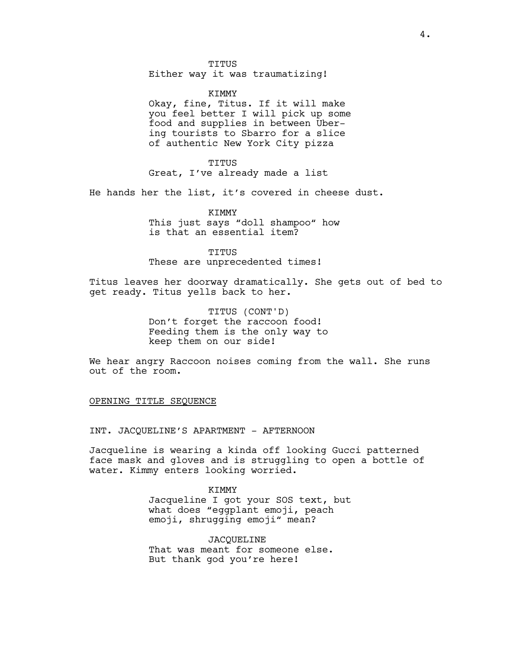TITUS

Either way it was traumatizing!

KIMMY

Okay, fine, Titus. If it will make you feel better I will pick up some food and supplies in between Ubering tourists to Sbarro for a slice of authentic New York City pizza

TITUS Great, I've already made a list

He hands her the list, it's covered in cheese dust.

KIMMY This just says "doll shampoo" how is that an essential item?

TITUS These are unprecedented times!

Titus leaves her doorway dramatically. She gets out of bed to get ready. Titus yells back to her.

> TITUS (CONT'D) Don't forget the raccoon food! Feeding them is the only way to keep them on our side!

We hear angry Raccoon noises coming from the wall. She runs out of the room.

OPENING TITLE SEQUENCE

INT. JACQUELINE'S APARTMENT - AFTERNOON

Jacqueline is wearing a kinda off looking Gucci patterned face mask and gloves and is struggling to open a bottle of water. Kimmy enters looking worried.

KIMMY

Jacqueline I got your SOS text, but what does "eqqplant emoji, peach emoji, shrugging emoji" mean?

JACQUELINE That was meant for someone else. But thank god you're here!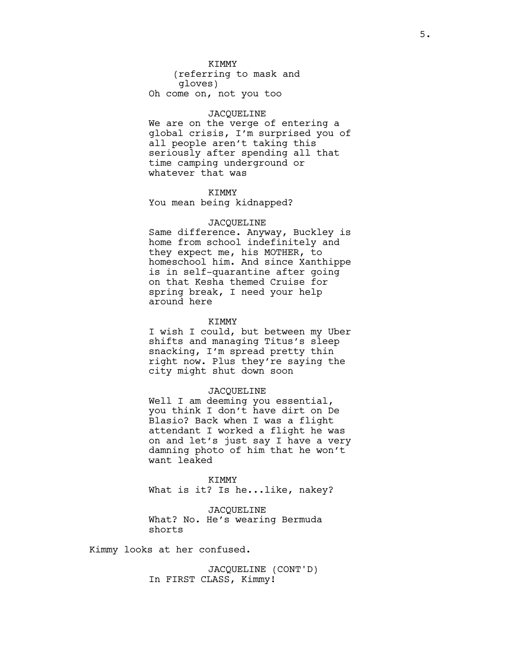# **KTMMY**

(referring to mask and gloves) Oh come on, not you too

# JACQUELINE

We are on the verge of entering a global crisis, I'm surprised you of all people aren't taking this seriously after spending all that time camping underground or whatever that was

### **KTMMY**

You mean being kidnapped?

### JACQUELINE

Same difference. Anyway, Buckley is home from school indefinitely and they expect me, his MOTHER, to homeschool him. And since Xanthippe is in self-quarantine after going on that Kesha themed Cruise for spring break, I need your help around here

### KIMMY

I wish I could, but between my Uber shifts and managing Titus's sleep snacking, I'm spread pretty thin right now. Plus they're saying the city might shut down soon

# JACQUELINE

Well I am deeming you essential, you think I don't have dirt on De Blasio? Back when I was a flight attendant I worked a flight he was on and let's just say I have a very damning photo of him that he won't want leaked

KIMMY What is it? Is he...like, nakey?

JACQUELINE What? No. He's wearing Bermuda shorts

Kimmy looks at her confused.

JACQUELINE (CONT'D) In FIRST CLASS, Kimmy!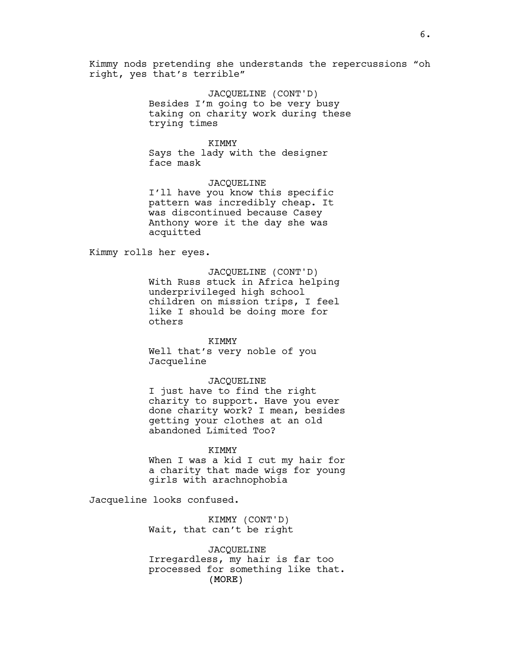Kimmy nods pretending she understands the repercussions "oh right, yes that's terrible"

> JACQUELINE (CONT'D) Besides I'm going to be very busy taking on charity work during these trying times

## KIMMY

Says the lady with the designer face mask

JACQUELINE I'll have you know this specific pattern was incredibly cheap. It was discontinued because Casey Anthony wore it the day she was acquitted

Kimmy rolls her eyes.

JACQUELINE (CONT'D) With Russ stuck in Africa helping underprivileged high school children on mission trips, I feel like I should be doing more for others

#### KIMMY

Well that's very noble of you Jacqueline

#### JACQUELINE

I just have to find the right charity to support. Have you ever done charity work? I mean, besides getting your clothes at an old abandoned Limited Too?

#### KIMMY

When I was a kid I cut my hair for a charity that made wigs for young girls with arachnophobia

Jacqueline looks confused.

KIMMY (CONT'D) Wait, that can't be right

(MORE) JACQUELINE Irregardless, my hair is far too processed for something like that.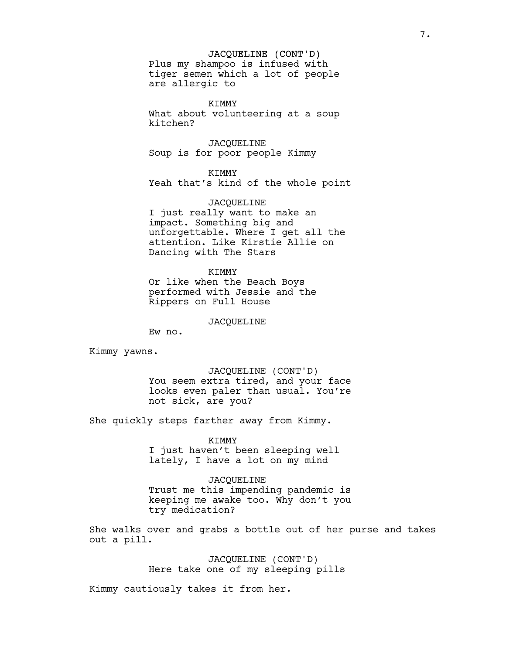### JACQUELINE (CONT'D)

Plus my shampoo is infused with tiger semen which a lot of people are allergic to

KIMMY What about volunteering at a soup kitchen?

JACQUELINE Soup is for poor people Kimmy

KIMMY Yeah that's kind of the whole point

JACQUELINE I just really want to make an impact. Something big and unforgettable. Where I get all the attention. Like Kirstie Allie on Dancing with The Stars

#### KIMMY

Or like when the Beach Boys performed with Jessie and the Rippers on Full House

# JACQUELINE

Ew no.

Kimmy yawns.

JACQUELINE (CONT'D) You seem extra tired, and your face looks even paler than usual. You're not sick, are you?

She quickly steps farther away from Kimmy.

### KIMMY

I just haven't been sleeping well lately, I have a lot on my mind

JACQUELINE Trust me this impending pandemic is keeping me awake too. Why don't you try medication?

She walks over and grabs a bottle out of her purse and takes out a pill.

> JACQUELINE (CONT'D) Here take one of my sleeping pills

Kimmy cautiously takes it from her.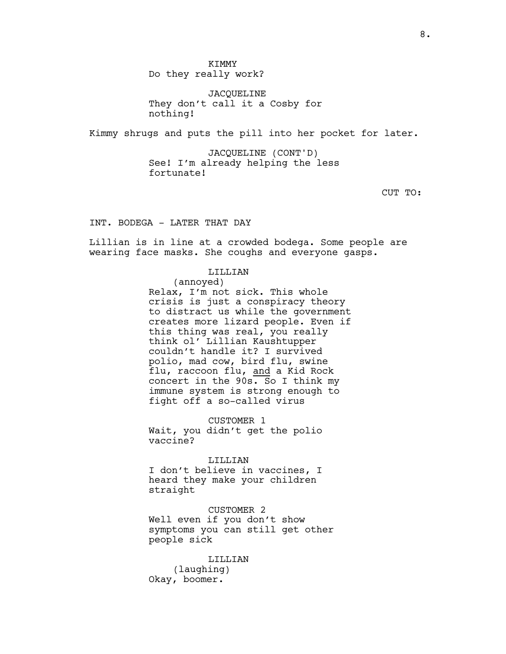JACQUELINE They don't call it a Cosby for nothing!

Kimmy shrugs and puts the pill into her pocket for later.

JACQUELINE (CONT'D) See! I'm already helping the less fortunate!

CUT TO:

INT. BODEGA - LATER THAT DAY

Lillian is in line at a crowded bodega. Some people are wearing face masks. She coughs and everyone gasps.

LILLIAN

(annoyed) Relax, I'm not sick. This whole crisis is just a conspiracy theory to distract us while the government creates more lizard people. Even if this thing was real, you really think ol' Lillian Kaushtupper couldn't handle it? I survived polio, mad cow, bird flu, swine flu, raccoon flu, and a Kid Rock concert in the 90s. So I think my immune system is strong enough to fight off a so-called virus

CUSTOMER 1 Wait, you didn't get the polio vaccine?

LILLIAN I don't believe in vaccines, I heard they make your children straight

CUSTOMER 2 Well even if you don't show symptoms you can still get other people sick

LILLIAN (laughing) Okay, boomer.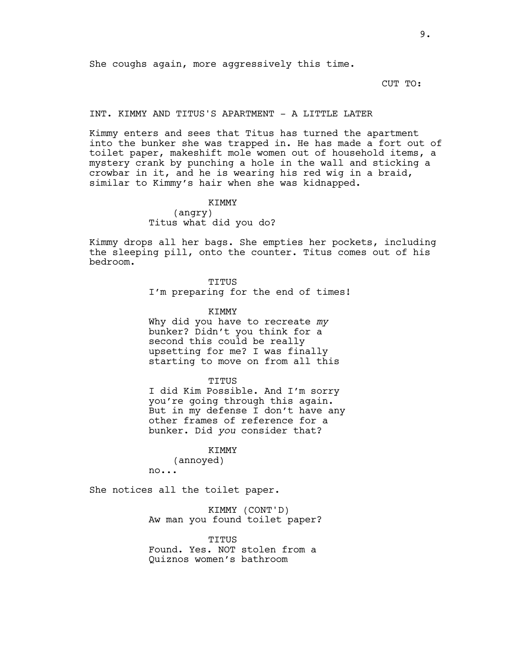CUT TO:

# INT. KIMMY AND TITUS'S APARTMENT - A LITTLE LATER

Kimmy enters and sees that Titus has turned the apartment into the bunker she was trapped in. He has made a fort out of toilet paper, makeshift mole women out of household items, a mystery crank by punching a hole in the wall and sticking a crowbar in it, and he is wearing his red wig in a braid, similar to Kimmy's hair when she was kidnapped.

> KIMMY (angry) Titus what did you do?

Kimmy drops all her bags. She empties her pockets, including the sleeping pill, onto the counter. Titus comes out of his bedroom.

TITUS

I'm preparing for the end of times!

KIMMY

Why did you have to recreate *my* bunker? Didn't you think for a second this could be really upsetting for me? I was finally starting to move on from all this

#### TITUS

I did Kim Possible. And I'm sorry you're going through this again. But in my defense I don't have any other frames of reference for a bunker. Did *you* consider that?

# KIMMY

(annoyed) no...

She notices all the toilet paper.

KIMMY (CONT'D) Aw man you found toilet paper?

TITUS Found. Yes. NOT stolen from a Quiznos women's bathroom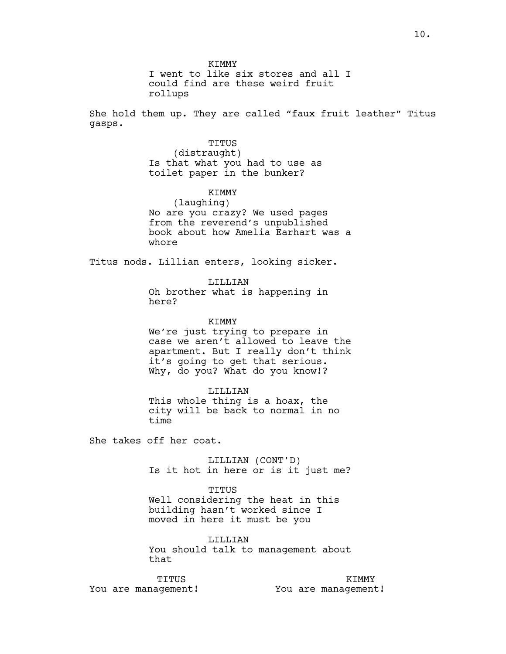I went to like six stores and all I could find are these weird fruit rollups

She hold them up. They are called "faux fruit leather" Titus gasps.

# TITUS

(distraught) Is that what you had to use as toilet paper in the bunker?

# KIMMY

(laughing) No are you crazy? We used pages from the reverend's unpublished book about how Amelia Earhart was a whore

Titus nods. Lillian enters, looking sicker.

# LILLIAN

Oh brother what is happening in here?

### KIMMY

We're just trying to prepare in case we aren't allowed to leave the apartment. But I really don't think it's going to get that serious. Why, do you? What do you know!?

### LILLIAN

This whole thing is a hoax, the city will be back to normal in no time

She takes off her coat.

LILLIAN (CONT'D) Is it hot in here or is it just me?

### TITUS

Well considering the heat in this building hasn't worked since I moved in here it must be you

LILLIAN You should talk to management about that

TITUS You are management!

KIMMY You are management!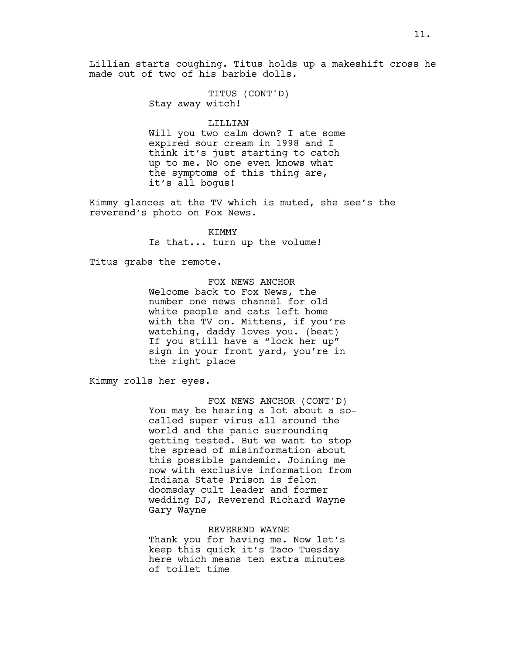Lillian starts coughing. Titus holds up a makeshift cross he made out of two of his barbie dolls.

> TITUS (CONT'D) Stay away witch!

> > LILLIAN

Will you two calm down? I ate some expired sour cream in 1998 and I think it's just starting to catch up to me. No one even knows what the symptoms of this thing are, it's all bogus!

Kimmy glances at the TV which is muted, she see's the reverend's photo on Fox News.

> KIMMY Is that... turn up the volume!

Titus grabs the remote.

FOX NEWS ANCHOR Welcome back to Fox News, the number one news channel for old white people and cats left home with the TV on. Mittens, if you're watching, daddy loves you. (beat) If you still have a "lock her up" sign in your front yard, you're in the right place

Kimmy rolls her eyes.

FOX NEWS ANCHOR (CONT'D) You may be hearing a lot about a socalled super virus all around the world and the panic surrounding getting tested. But we want to stop the spread of misinformation about this possible pandemic. Joining me now with exclusive information from Indiana State Prison is felon doomsday cult leader and former wedding DJ, Reverend Richard Wayne Gary Wayne

### REVEREND WAYNE

Thank you for having me. Now let's keep this quick it's Taco Tuesday here which means ten extra minutes of toilet time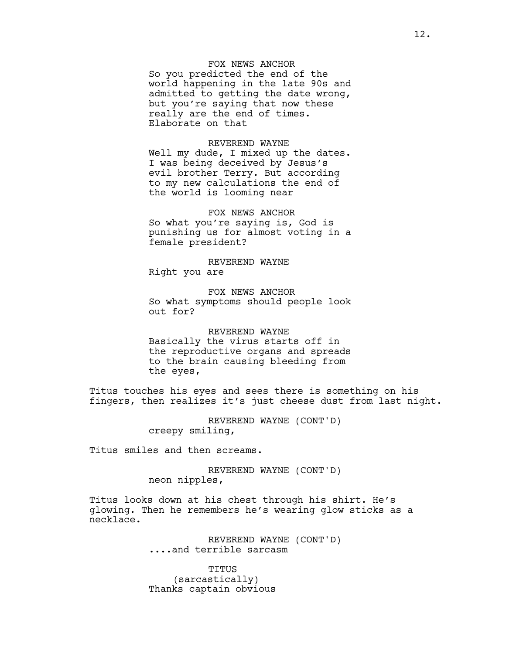# FOX NEWS ANCHOR

So you predicted the end of the world happening in the late 90s and admitted to getting the date wrong, but you're saying that now these really are the end of times. Elaborate on that

# REVEREND WAYNE

Well my dude, I mixed up the dates. I was being deceived by Jesus's evil brother Terry. But according to my new calculations the end of the world is looming near

FOX NEWS ANCHOR So what you're saying is, God is punishing us for almost voting in a female president?

REVEREND WAYNE Right you are

FOX NEWS ANCHOR So what symptoms should people look out for?

REVEREND WAYNE Basically the virus starts off in the reproductive organs and spreads to the brain causing bleeding from the eyes,

Titus touches his eyes and sees there is something on his fingers, then realizes it's just cheese dust from last night.

> REVEREND WAYNE (CONT'D) creepy smiling,

Titus smiles and then screams.

REVEREND WAYNE (CONT'D) neon nipples,

Titus looks down at his chest through his shirt. He's glowing. Then he remembers he's wearing glow sticks as a necklace.

> REVEREND WAYNE (CONT'D) ....and terrible sarcasm

TITUS (sarcastically) Thanks captain obvious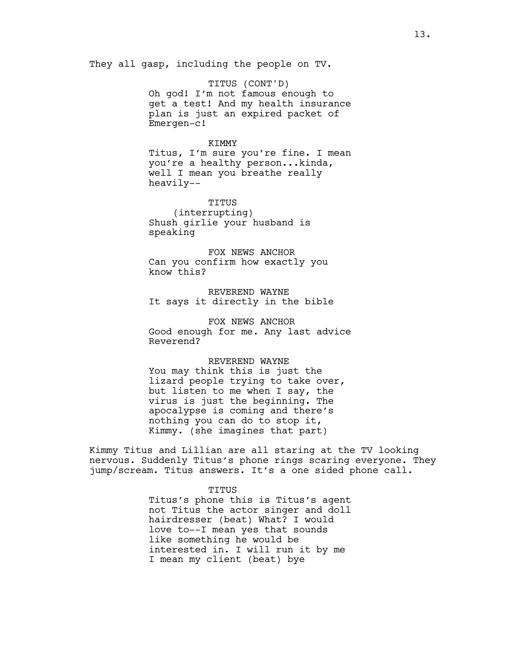They all gasp, including the people on TV.

TITUS (CONT'D) Oh god! I'm not famous enough to get a test! And my health insurance plan is just an expired packet of Emergen-c!

### KIMMY

Titus, I'm sure you're fine. I mean you're a healthy person...kinda, well I mean you breathe really heavily--

TITUS (interrupting) Shush girlie your husband is speaking

FOX NEWS ANCHOR Can you confirm how exactly you know this?

REVEREND WAYNE It says it directly in the bible

FOX NEWS ANCHOR Good enough for me. Any last advice Reverend?

# REVEREND WAYNE

You may think this is just the lizard people trying to take over, but listen to me when I say, the virus is just the beginning. The apocalypse is coming and there's nothing you can do to stop it, Kimmy. (she imagines that part)

Kimmy Titus and Lillian are all staring at the TV looking nervous. Suddenly Titus's phone rings scaring everyone. They jump/scream. Titus answers. It's a one sided phone call.

### TITUS

Titus's phone this is Titus's agent not Titus the actor singer and doll hairdresser (beat) What? I would love to--I mean yes that sounds like something he would be interested in. I will run it by me I mean my client (beat) bye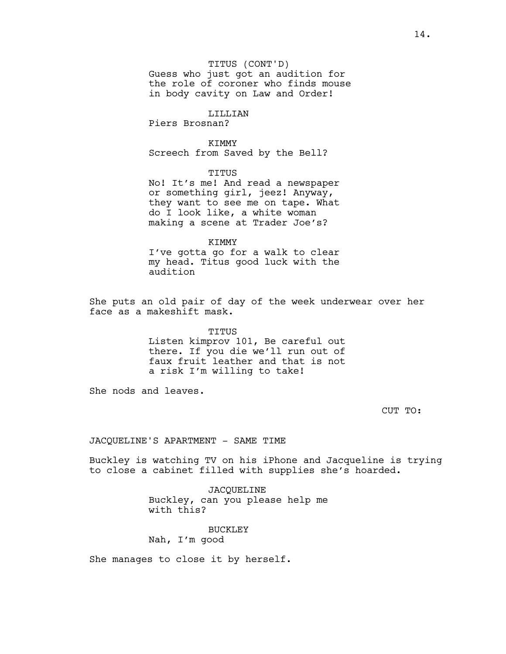# TITUS (CONT'D)

Guess who just got an audition for the role of coroner who finds mouse in body cavity on Law and Order!

# LILLIAN

Piers Brosnan?

# **KTMMY**

Screech from Saved by the Bell?

# TITUS

No! It's me! And read a newspaper or something girl, jeez! Anyway, they want to see me on tape. What do I look like, a white woman making a scene at Trader Joe's?

# KIMMY

I've gotta go for a walk to clear my head. Titus good luck with the audition

She puts an old pair of day of the week underwear over her face as a makeshift mask.

# TITUS Listen kimprov 101, Be careful out there. If you die we'll run out of faux fruit leather and that is not a risk I'm willing to take!

She nods and leaves.

CUT TO:

# JACQUELINE'S APARTMENT - SAME TIME

Buckley is watching TV on his iPhone and Jacqueline is trying to close a cabinet filled with supplies she's hoarded.

> JACQUELINE Buckley, can you please help me with this?

BUCKLEY Nah, I'm good

She manages to close it by herself.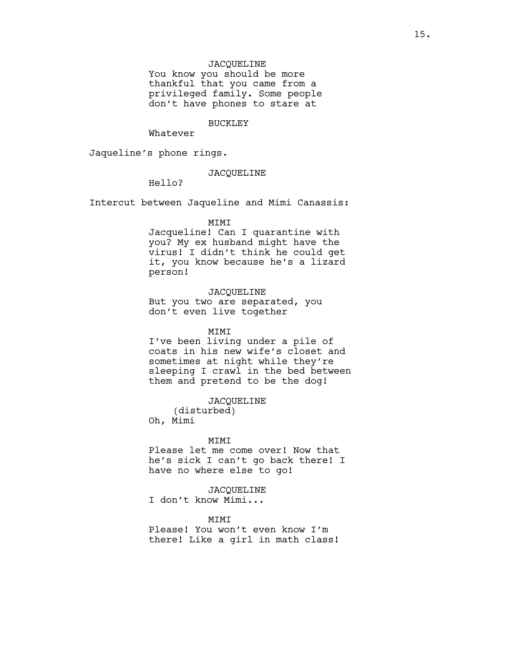# JACQUELINE

You know you should be more thankful that you came from a privileged family. Some people don't have phones to stare at

# BUCKLEY

Whatever

Jaqueline's phone rings.

# JACQUELINE

Hello?

Intercut between Jaqueline and Mimi Canassis:

# MIMI

Jacqueline! Can I quarantine with you? My ex husband might have the virus! I didn't think he could get it, you know because he's a lizard person!

# JACQUELINE

But you two are separated, you don't even live together

# MIMI

I've been living under a pile of coats in his new wife's closet and sometimes at night while they're sleeping I crawl in the bed between them and pretend to be the dog!

JACQUELINE

(disturbed) Oh, Mimi

#### MIMI

Please let me come over! Now that he's sick I can't go back there! I have no where else to go!

# JACQUELINE

I don't know Mimi...

# **MTMT**

Please! You won't even know I'm there! Like a girl in math class!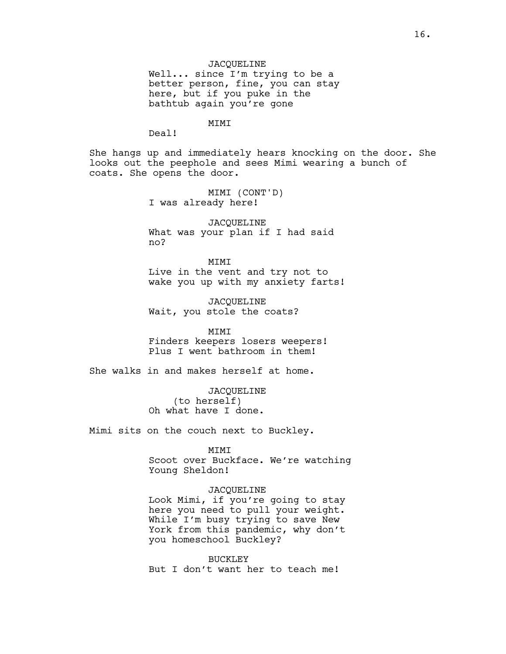JACQUELINE Well... since I'm trying to be a better person, fine, you can stay here, but if you puke in the bathtub again you're gone

MIMI

Deal!

She hangs up and immediately hears knocking on the door. She looks out the peephole and sees Mimi wearing a bunch of coats. She opens the door.

> MIMI (CONT'D) I was already here!

JACQUELINE What was your plan if I had said no?

**MTMT** Live in the vent and try not to wake you up with my anxiety farts!

JACQUELINE Wait, you stole the coats?

MIMI Finders keepers losers weepers! Plus I went bathroom in them!

She walks in and makes herself at home.

JACQUELINE (to herself) Oh what have I done.

Mimi sits on the couch next to Buckley.

MIMI

Scoot over Buckface. We're watching Young Sheldon!

# JACQUELINE

Look Mimi, if you're going to stay here you need to pull your weight. While I'm busy trying to save New York from this pandemic, why don't you homeschool Buckley?

BUCKLEY But I don't want her to teach me!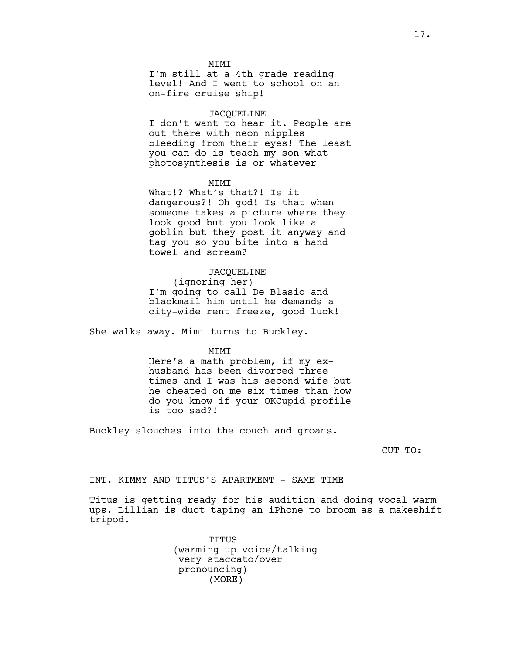#### **MTMT**

I'm still at a 4th grade reading level! And I went to school on an on-fire cruise ship!

# JACQUELINE

I don't want to hear it. People are out there with neon nipples bleeding from their eyes! The least you can do is teach my son what photosynthesis is or whatever

### MIMI

What!? What's that?! Is it dangerous?! Oh god! Is that when someone takes a picture where they look good but you look like a goblin but they post it anyway and tag you so you bite into a hand towel and scream?

### JACQUELINE

(ignoring her) I'm going to call De Blasio and blackmail him until he demands a city-wide rent freeze, good luck!

She walks away. Mimi turns to Buckley.

# MIMI

Here's a math problem, if my exhusband has been divorced three times and I was his second wife but he cheated on me six times than how do you know if your OKCupid profile is too sad?!

Buckley slouches into the couch and groans.

CUT TO:

INT. KIMMY AND TITUS'S APARTMENT - SAME TIME

Titus is getting ready for his audition and doing vocal warm ups. Lillian is duct taping an iPhone to broom as a makeshift tripod.

> (MORE) TITUS (warming up voice/talking very staccato/over pronouncing)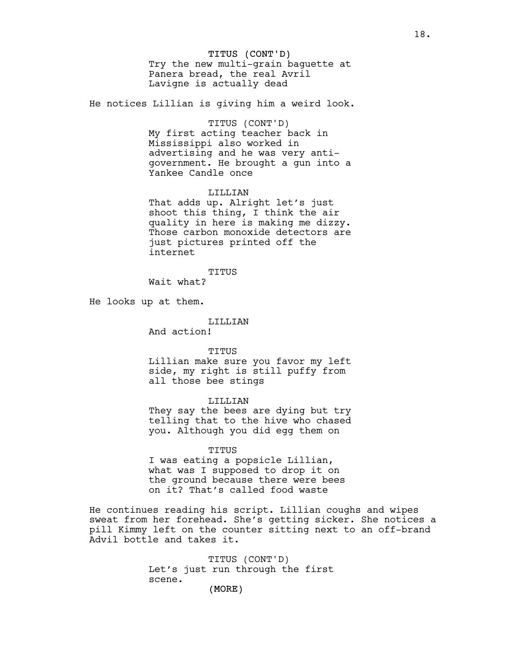# TITUS (CONT'D)

Try the new multi-grain baguette at Panera bread, the real Avril Lavigne is actually dead

He notices Lillian is giving him a weird look.

# TITUS (CONT'D)

My first acting teacher back in Mississippi also worked in advertising and he was very antigovernment. He brought a gun into a Yankee Candle once

# LILLIAN

That adds up. Alright let's just shoot this thing, I think the air quality in here is making me dizzy. Those carbon monoxide detectors are just pictures printed off the internet

TITUS

Wait what?

He looks up at them.

### LILLIAN

And action!

#### TITUS

Lillian make sure you favor my left side, my right is still puffy from all those bee stings

#### LILLIAN

They say the bees are dying but try telling that to the hive who chased you. Although you did egg them on

#### TITUS

I was eating a popsicle Lillian, what was I supposed to drop it on the ground because there were bees on it? That's called food waste

He continues reading his script. Lillian coughs and wipes sweat from her forehead. She's getting sicker. She notices a pill Kimmy left on the counter sitting next to an off-brand Advil bottle and takes it.

> TITUS (CONT'D) Let's just run through the first scene.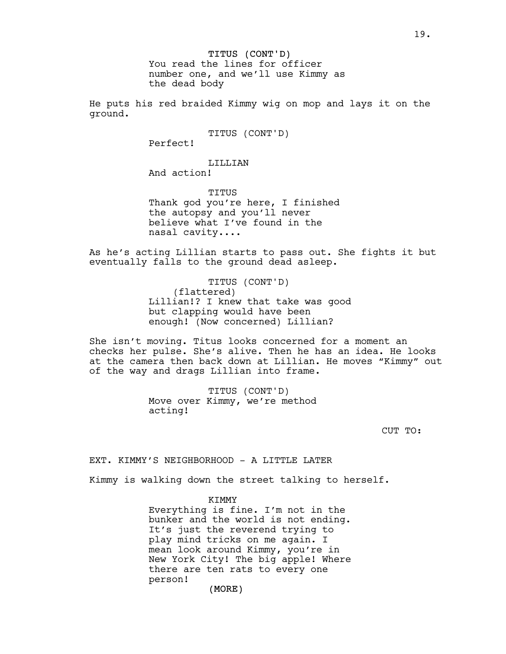You read the lines for officer number one, and we'll use Kimmy as the dead body

He puts his red braided Kimmy wig on mop and lays it on the ground.

TITUS (CONT'D)

Perfect!

LILLIAN And action!

TITUS Thank god you're here, I finished the autopsy and you'll never believe what I've found in the nasal cavity....

As he's acting Lillian starts to pass out. She fights it but eventually falls to the ground dead asleep.

> TITUS (CONT'D) (flattered) Lillian!? I knew that take was good but clapping would have been enough! (Now concerned) Lillian?

She isn't moving. Titus looks concerned for a moment an checks her pulse. She's alive. Then he has an idea. He looks at the camera then back down at Lillian. He moves "Kimmy" out of the way and drags Lillian into frame.

> TITUS (CONT'D) Move over Kimmy, we're method acting!

> > CUT TO:

EXT. KIMMY'S NEIGHBORHOOD - A LITTLE LATER

Kimmy is walking down the street talking to herself.

KIMMY

Everything is fine. I'm not in the bunker and the world is not ending. It's just the reverend trying to play mind tricks on me again. I mean look around Kimmy, you're in New York City! The big apple! Where there are ten rats to every one person!

19.

(MORE)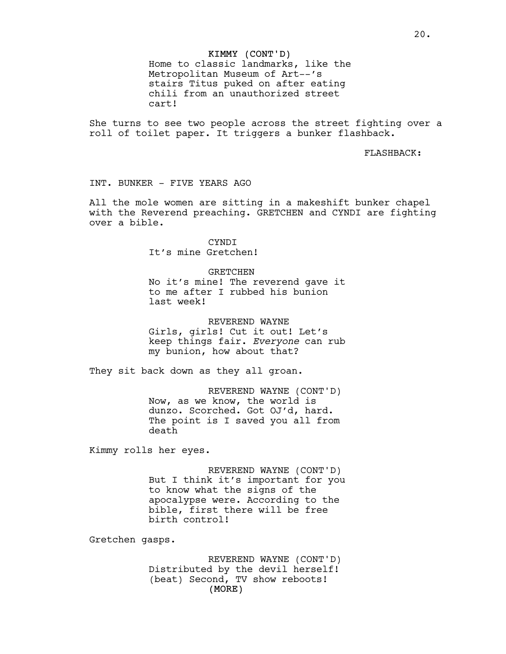# KIMMY (CONT'D)

Home to classic landmarks, like the Metropolitan Museum of Art--'s stairs Titus puked on after eating chili from an unauthorized street cart!

She turns to see two people across the street fighting over a roll of toilet paper. It triggers a bunker flashback.

FLASHBACK:

INT. BUNKER - FIVE YEARS AGO

All the mole women are sitting in a makeshift bunker chapel with the Reverend preaching. GRETCHEN and CYNDI are fighting over a bible.

> CYNDI It's mine Gretchen!

GRETCHEN

No it's mine! The reverend gave it to me after I rubbed his bunion last week!

REVEREND WAYNE Girls, girls! Cut it out! Let's keep things fair. *Everyone* can rub my bunion, how about that?

They sit back down as they all groan.

REVEREND WAYNE (CONT'D) Now, as we know, the world is dunzo. Scorched. Got OJ'd, hard. The point is I saved you all from death

Kimmy rolls her eyes.

REVEREND WAYNE (CONT'D) But I think it's important for you to know what the signs of the apocalypse were. According to the bible, first there will be free birth control!

Gretchen gasps.

(MORE) REVEREND WAYNE (CONT'D) Distributed by the devil herself! (beat) Second, TV show reboots!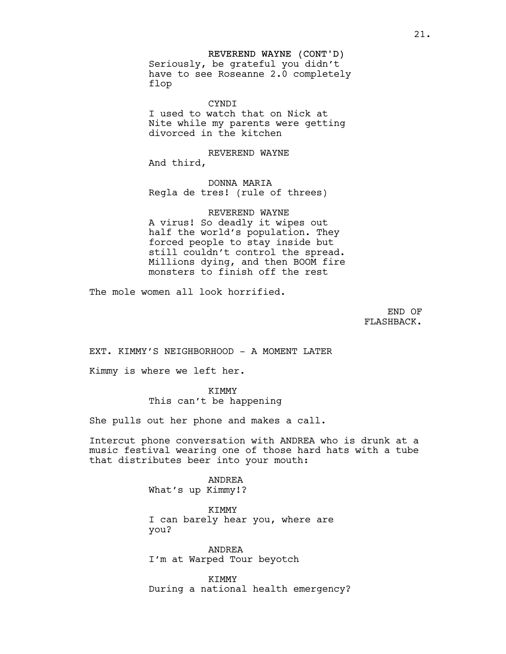# REVEREND WAYNE (CONT'D)

Seriously, be grateful you didn't have to see Roseanne 2.0 completely flop

**CYNDT** I used to watch that on Nick at Nite while my parents were getting divorced in the kitchen

REVEREND WAYNE And third,

DONNA MARIA Regla de tres! (rule of threes)

REVEREND WAYNE A virus! So deadly it wipes out half the world's population. They forced people to stay inside but still couldn't control the spread. Millions dying, and then BOOM fire monsters to finish off the rest

The mole women all look horrified.

END OF FLASHBACK.

EXT. KIMMY'S NEIGHBORHOOD - A MOMENT LATER

Kimmy is where we left her.

KIMMY

# This can't be happening

She pulls out her phone and makes a call.

Intercut phone conversation with ANDREA who is drunk at a music festival wearing one of those hard hats with a tube that distributes beer into your mouth:

> ANDREA What's up Kimmy!?

KIMMY I can barely hear you, where are you?

ANDREA I'm at Warped Tour beyotch

KIMMY During a national health emergency?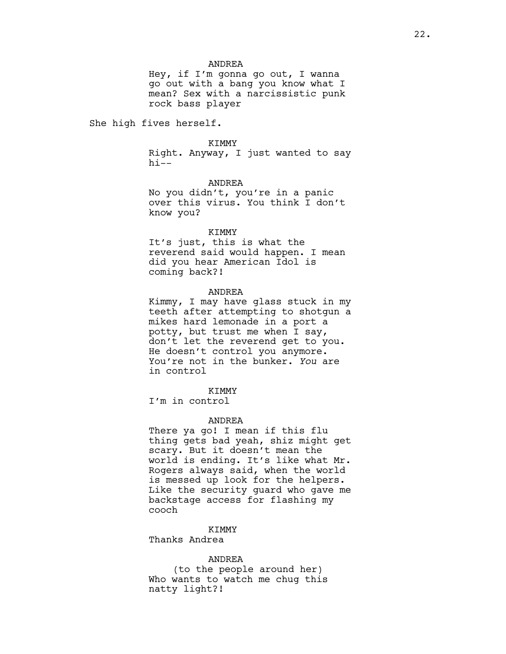### ANDREA

Hey, if I'm gonna go out, I wanna go out with a bang you know what I mean? Sex with a narcissistic punk rock bass player

She high fives herself.

#### KIMMY

Right. Anyway, I just wanted to say  $hi--$ 

ANDREA

No you didn't, you're in a panic over this virus. You think I don't know you?

#### KIMMY

It's just, this is what the reverend said would happen. I mean did you hear American Idol is coming back?!

#### ANDREA

Kimmy, I may have glass stuck in my teeth after attempting to shotgun a mikes hard lemonade in a port a potty, but trust me when I say, don't let the reverend get to you. He doesn't control you anymore. You're not in the bunker. *You* are in control

# KIMMY

I'm in control

#### ANDREA

There ya go! I mean if this flu thing gets bad yeah, shiz might get scary. But it doesn't mean the world is ending. It's like what Mr. Rogers always said, when the world is messed up look for the helpers. Like the security guard who gave me backstage access for flashing my cooch

KIMMY

Thanks Andrea

#### ANDREA

(to the people around her) Who wants to watch me chug this natty light?!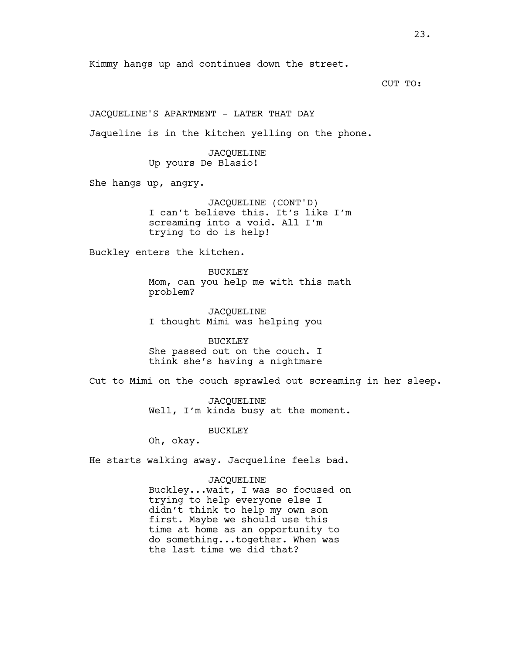CUT TO:

JACQUELINE'S APARTMENT - LATER THAT DAY

Jaqueline is in the kitchen yelling on the phone.

JACQUELINE Up yours De Blasio!

She hangs up, angry.

JACQUELINE (CONT'D) I can't believe this. It's like I'm screaming into a void. All I'm trying to do is help!

Buckley enters the kitchen.

BUCKLEY Mom, can you help me with this math problem?

JACQUELINE I thought Mimi was helping you

BUCKLEY She passed out on the couch. I think she's having a nightmare

Cut to Mimi on the couch sprawled out screaming in her sleep.

JACQUELINE Well, I'm kinda busy at the moment.

BUCKLEY

Oh, okay.

He starts walking away. Jacqueline feels bad.

JACQUELINE Buckley...wait, I was so focused on trying to help everyone else I didn't think to help my own son first. Maybe we should use this time at home as an opportunity to do something...together. When was the last time we did that?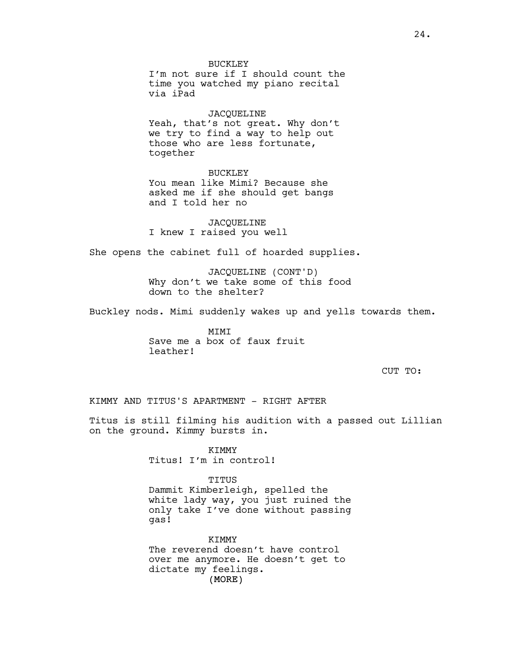I'm not sure if I should count the time you watched my piano recital via iPad

### JACQUELINE

Yeah, that's not great. Why don't we try to find a way to help out those who are less fortunate, together

BUCKLEY You mean like Mimi? Because she asked me if she should get bangs and I told her no

JACQUELINE I knew I raised you well

She opens the cabinet full of hoarded supplies.

JACQUELINE (CONT'D) Why don't we take some of this food down to the shelter?

Buckley nods. Mimi suddenly wakes up and yells towards them.

MIMI Save me a box of faux fruit leather!

CUT TO:

### KIMMY AND TITUS'S APARTMENT - RIGHT AFTER

Titus is still filming his audition with a passed out Lillian on the ground. Kimmy bursts in.

> KIMMY Titus! I'm in control!

TITUS Dammit Kimberleigh, spelled the white lady way, you just ruined the only take I've done without passing gas!

(MORE) KTMMY The reverend doesn't have control over me anymore. He doesn't get to dictate my feelings.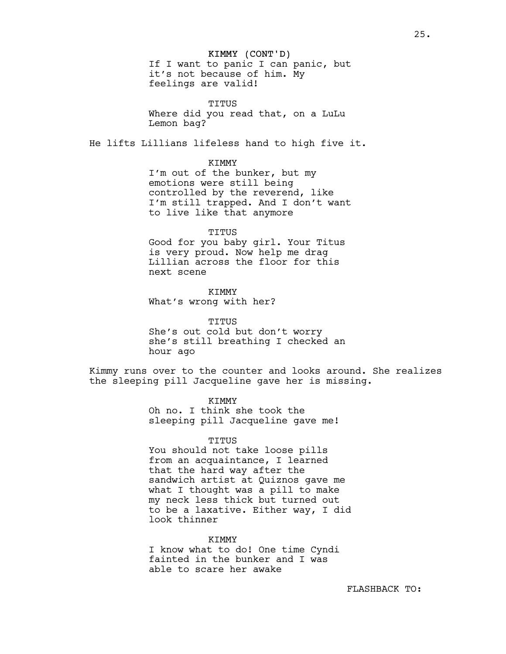#### KIMMY (CONT'D)

If I want to panic I can panic, but it's not because of him. My feelings are valid!

TITUS Where did you read that, on a LuLu Lemon bag?

He lifts Lillians lifeless hand to high five it.

### KIMMY

I'm out of the bunker, but my emotions were still being controlled by the reverend, like I'm still trapped. And I don't want to live like that anymore

#### TITUS

Good for you baby girl. Your Titus is very proud. Now help me drag Lillian across the floor for this next scene

KIMMY What's wrong with her?

TITUS She's out cold but don't worry she's still breathing I checked an hour ago

Kimmy runs over to the counter and looks around. She realizes the sleeping pill Jacqueline gave her is missing.

> KIMMY Oh no. I think she took the sleeping pill Jacqueline gave me!

### TITUS

You should not take loose pills from an acquaintance, I learned that the hard way after the sandwich artist at Quiznos gave me what I thought was a pill to make my neck less thick but turned out to be a laxative. Either way, I did look thinner

KIMMY

I know what to do! One time Cyndi fainted in the bunker and I was able to scare her awake

FLASHBACK TO: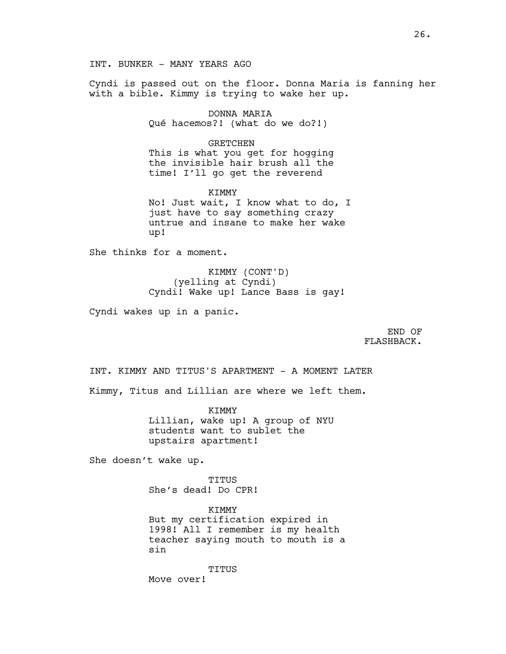INT. BUNKER - MANY YEARS AGO

Cyndi is passed out on the floor. Donna Maria is fanning her with a bible. Kimmy is trying to wake her up.

> DONNA MARIA Qué hacemos?! (what do we do?!)

GRETCHEN This is what you get for hogging the invisible hair brush all the time! I'll go get the reverend

KTMMY No! Just wait, I know what to do, I just have to say something crazy untrue and insane to make her wake up!

She thinks for a moment.

KIMMY (CONT'D) (yelling at Cyndi) Cyndi! Wake up! Lance Bass is gay!

Cyndi wakes up in a panic.

END OF FLASHBACK.

INT. KIMMY AND TITUS'S APARTMENT - A MOMENT LATER

Kimmy, Titus and Lillian are where we left them.

KTMMY Lillian, wake up! A group of NYU students want to sublet the upstairs apartment!

She doesn't wake up.

TITUS She's dead! Do CPR!

KIMMY But my certification expired in 1998! All I remember is my health teacher saying mouth to mouth is a sin

TITUS

Move over!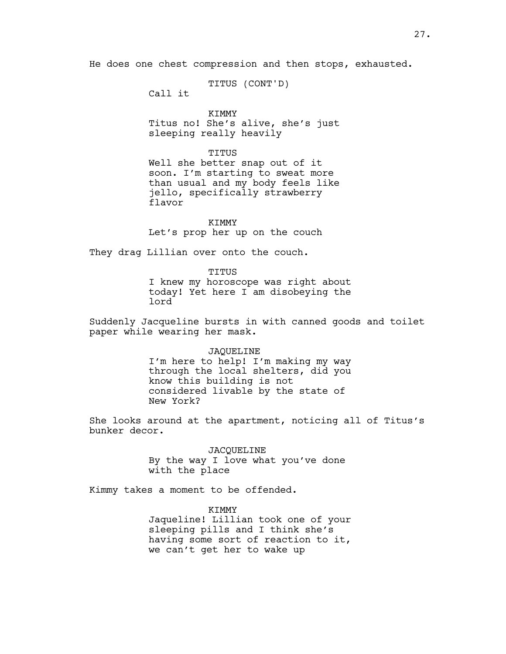He does one chest compression and then stops, exhausted.

TITUS (CONT'D)

Call it

KIMMY Titus no! She's alive, she's just sleeping really heavily

TITUS

Well she better snap out of it soon. I'm starting to sweat more than usual and my body feels like jello, specifically strawberry flavor

KIMMY Let's prop her up on the couch

They drag Lillian over onto the couch.

TITUS I knew my horoscope was right about today! Yet here I am disobeying the lord

Suddenly Jacqueline bursts in with canned goods and toilet paper while wearing her mask.

### JAQUELINE

I'm here to help! I'm making my way through the local shelters, did you know this building is not considered livable by the state of New York?

She looks around at the apartment, noticing all of Titus's bunker decor.

> JACQUELINE By the way I love what you've done with the place

Kimmy takes a moment to be offended.

KIMMY Jaqueline! Lillian took one of your sleeping pills and I think she's having some sort of reaction to it, we can't get her to wake up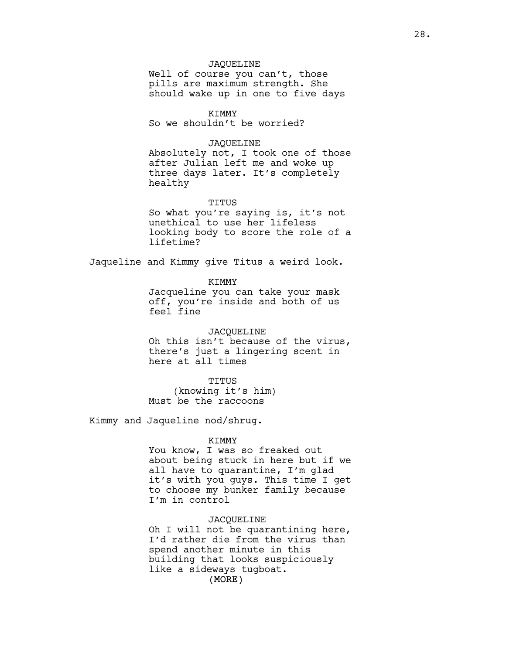### JAQUELINE

Well of course you can't, those pills are maximum strength. She should wake up in one to five days

# KIMMY

So we shouldn't be worried?

# JAQUELINE

Absolutely not, I took one of those after Julian left me and woke up three days later. It's completely healthy

#### TITUS

So what you're saying is, it's not unethical to use her lifeless looking body to score the role of a lifetime?

Jaqueline and Kimmy give Titus a weird look.

KIMMY

Jacqueline you can take your mask off, you're inside and both of us feel fine

# JACQUELINE

Oh this isn't because of the virus, there's just a lingering scent in here at all times

#### TITUS

(knowing it's him) Must be the raccoons

Kimmy and Jaqueline nod/shrug.

#### KIMMY

You know, I was so freaked out about being stuck in here but if we all have to quarantine, I'm glad it's with you guys. This time I get to choose my bunker family because I'm in control

### JACQUELINE

(MORE) Oh I will not be quarantining here, I'd rather die from the virus than spend another minute in this building that looks suspiciously like a sideways tugboat.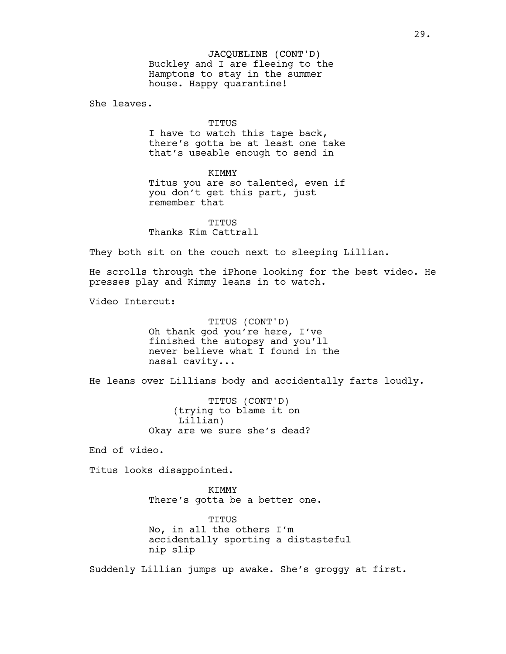# JACQUELINE (CONT'D)

Buckley and I are fleeing to the Hamptons to stay in the summer house. Happy quarantine!

She leaves.

TITUS I have to watch this tape back, there's gotta be at least one take that's useable enough to send in

KIMMY Titus you are so talented, even if you don't get this part, just remember that

TITUS Thanks Kim Cattrall

They both sit on the couch next to sleeping Lillian.

He scrolls through the iPhone looking for the best video. He presses play and Kimmy leans in to watch.

Video Intercut:

TITUS (CONT'D) Oh thank god you're here, I've finished the autopsy and you'll never believe what I found in the nasal cavity...

He leans over Lillians body and accidentally farts loudly.

TITUS (CONT'D) (trying to blame it on Lillian) Okay are we sure she's dead?

End of video.

Titus looks disappointed.

KIMMY There's gotta be a better one.

TITUS No, in all the others I'm accidentally sporting a distasteful nip slip

Suddenly Lillian jumps up awake. She's groggy at first.